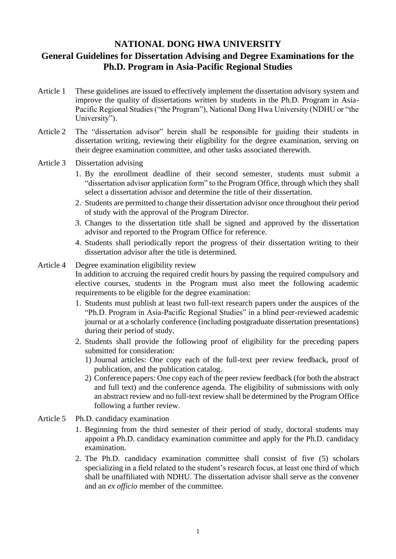## **NATIONAL DONG HWA UNIVERSITY**

## **General Guidelines for Dissertation Advising and Degree Examinations for the Ph.D. Program in Asia-Pacific Regional Studies**

- Article 1 These guidelines are issued to effectively implement the dissertation advisory system and improve the quality of dissertations written by students in the Ph.D. Program in Asia-Pacific Regional Studies ("the Program"), National Dong Hwa University (NDHU or "the University").
- Article 2 The "dissertation advisor" herein shall be responsible for guiding their students in dissertation writing, reviewing their eligibility for the degree examination, serving on their degree examination committee, and other tasks associated therewith.
- Article 3 Dissertation advising
	- 1. By the enrollment deadline of their second semester, students must submit a "dissertation advisor application form" to the Program Office, through which they shall select a dissertation advisor and determine the title of their dissertation.
	- 2. Students are permitted to change their dissertation advisor once throughout their period of study with the approval of the Program Director.
	- 3. Changes to the dissertation title shall be signed and approved by the dissertation advisor and reported to the Program Office for reference.
	- 4. Students shall periodically report the progress of their dissertation writing to their dissertation advisor after the title is determined.

## Article 4 Degree examination eligibility review In addition to accruing the required credit hours by passing the required compulsory and elective courses, students in the Program must also meet the following academic requirements to be eligible for the degree examination:

- 1. Students must publish at least two full-text research papers under the auspices of the "Ph.D. Program in Asia-Pacific Regional Studies" in a blind peer-reviewed academic journal or at a scholarly conference (including postgraduate dissertation presentations) during their period of study.
- 2. Students shall provide the following proof of eligibility for the preceding papers submitted for consideration:
	- 1) Journal articles: One copy each of the full-text peer review feedback, proof of publication, and the publication catalog.
	- 2) Conference papers: One copy each of the peer review feedback (for both the abstract and full text) and the conference agenda. The eligibility of submissions with only an abstract review and no full-text review shall be determined by the Program Office following a further review.
- Article 5 Ph.D. candidacy examination
	- 1. Beginning from the third semester of their period of study, doctoral students may appoint a Ph.D. candidacy examination committee and apply for the Ph.D. candidacy examination.
	- 2. The Ph.D. candidacy examination committee shall consist of five (5) scholars specializing in a field related to the student's research focus, at least one third of which shall be unaffiliated with NDHU. The dissertation advisor shall serve as the convener and an *ex officio* member of the committee.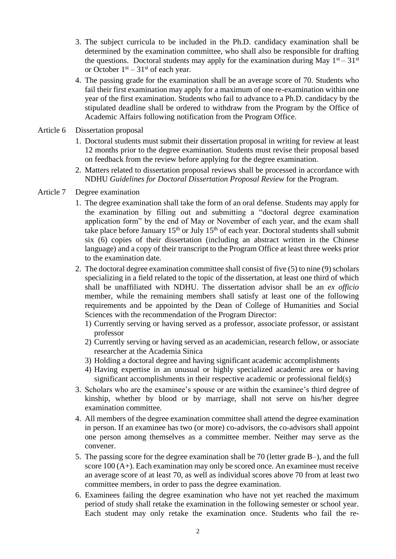- 3. The subject curricula to be included in the Ph.D. candidacy examination shall be determined by the examination committee, who shall also be responsible for drafting the questions. Doctoral students may apply for the examination during May  $1<sup>st</sup> - 31<sup>st</sup>$ or October  $1<sup>st</sup> - 31<sup>st</sup>$  of each year.
- 4. The passing grade for the examination shall be an average score of 70. Students who fail their first examination may apply for a maximum of one re-examination within one year of the first examination. Students who fail to advance to a Ph.D. candidacy by the stipulated deadline shall be ordered to withdraw from the Program by the Office of Academic Affairs following notification from the Program Office.
- Article 6 Dissertation proposal
	- 1. Doctoral students must submit their dissertation proposal in writing for review at least 12 months prior to the degree examination. Students must revise their proposal based on feedback from the review before applying for the degree examination.
	- 2. Matters related to dissertation proposal reviews shall be processed in accordance with NDHU *Guidelines for Doctoral Dissertation Proposal Review* for the Program.
- Article 7 Degree examination
	- 1. The degree examination shall take the form of an oral defense. Students may apply for the examination by filling out and submitting a "doctoral degree examination application form" by the end of May or November of each year, and the exam shall take place before January  $15<sup>th</sup>$  or July  $15<sup>th</sup>$  of each year. Doctoral students shall submit six (6) copies of their dissertation (including an abstract written in the Chinese language) and a copy of their transcript to the Program Office at least three weeks prior to the examination date.
	- 2. The doctoral degree examination committee shall consist of five (5) to nine (9) scholars specializing in a field related to the topic of the dissertation, at least one third of which shall be unaffiliated with NDHU. The dissertation advisor shall be an *ex officio* member, while the remaining members shall satisfy at least one of the following requirements and be appointed by the Dean of College of Humanities and Social Sciences with the recommendation of the Program Director:
		- 1) Currently serving or having served as a professor, associate professor, or assistant professor
		- 2) Currently serving or having served as an academician, research fellow, or associate researcher at the Academia Sinica
		- 3) Holding a doctoral degree and having significant academic accomplishments
		- 4) Having expertise in an unusual or highly specialized academic area or having significant accomplishments in their respective academic or professional field(s)
	- 3. Scholars who are the examinee's spouse or are within the examinee's third degree of kinship, whether by blood or by marriage, shall not serve on his/her degree examination committee.
	- 4. All members of the degree examination committee shall attend the degree examination in person. If an examinee has two (or more) co-advisors, the co-advisors shall appoint one person among themselves as a committee member. Neither may serve as the convener.
	- 5. The passing score for the degree examination shall be 70 (letter grade B–), and the full score 100 (A+). Each examination may only be scored once. An examinee must receive an average score of at least 70, as well as individual scores above 70 from at least two committee members, in order to pass the degree examination.
	- 6. Examinees failing the degree examination who have not yet reached the maximum period of study shall retake the examination in the following semester or school year. Each student may only retake the examination once. Students who fail the re-